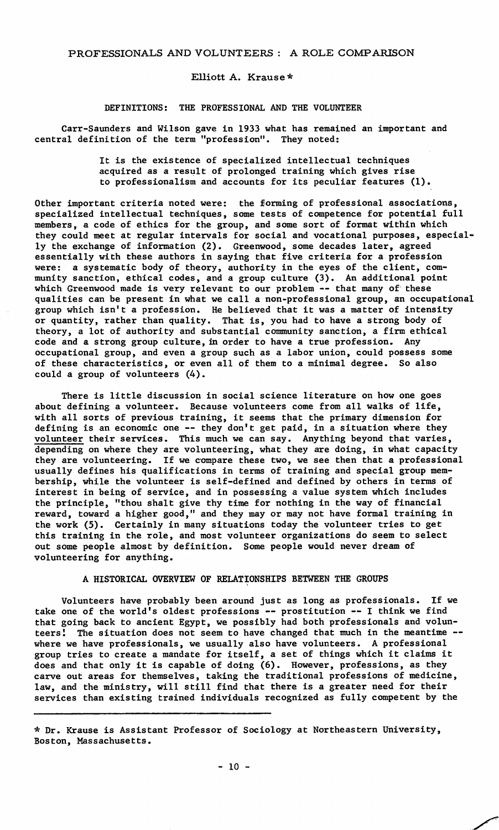### Elliott A. Krause\*

DEFINITIONS: THE PROFESSIONAL AND THE VOLUNTEER

Carr-Saunders and Wilson gave in 1933 what has remained an important and central definition of the term "profession". They noted:

> It is the existence of specialized intellectual techniques acquired as a result of prolonged training which gives rise to professionalism and accounts for its peculiar features (1),

Other important criteria noted were: the forming of professional associations, specialized intellectual techniques, some tests of competence for potential full members, a code of ethics for the group, and some sort of format within which they could meet at regular intervals for social and vocational purposes, especially the exchange of information (2). Greenwood, some decades later, agreed essentially with these authors in saying that five criteria for a profession were: a systematic body of theory, authority in the eyes of the client, community sanction, ethical codes, and a group culture (3). An additional point which Greenwood made is very relevant to our problem -- that many of these qualities can be present in what we call a non-professional group, an occupational group which isn't a profession. He believed that it was a matter of intensi<br>or quantity, rather than quality. That is, you had to have a strong body of theory, a lot of authority and substantial community sanction, a firm ethical code and a strong group culture, in order to have a true profession. Any occupational group, and even a group such as a labor union, could possess some of these characteristics, or even all of them to a minimal degree, So also could a group of volunteers (4).

There is little discussion in social science literature on how one goes about defining a volunteer. Because volunteers come from all walks of life, with all sorts of previous training, it seems that the primary dimension for defining is an economic one -- they don't get paid, in a situation where they volunteer their services. This much we can say. Anything beyond that varies, depending on where they are volunteering, what they are doing, in what capacity they are volunteering. If we compare these two, we see then that a professional usually defines his qualifications in terms of training and special group membership, while the volunteer is self-defined and defined by others in terms of interest in being of service, and in possessing a value system which includes the principle, "thou shalt give thy time for nothing in the way of financial reward, toward a higher good," and they may or may not have formal training in the work (5). Certainly in many situations today the volunteer tries to get this training in the role, and most volunteer organizations do seem to select out some people almost by definition. Some people would never dream of volunteering for anything.

### A HISTORICAL OVERVIEW OF RELATIONSHIPS BETWEEN THE GROUPS

Volunteers have probably been around just as long as professionals. If we take one of the world's oldest professions -- prostitution -- I think we find that going back to ancient Egypt, we possibly had both professionals and volunteers! The situation does not seem to have changed that much in the meantime - where we have professionals, we usually also have volunteers. A professional group tries to create a mandate for itself, a set of things which it claims it does and that only it is capable of doing (6). However, professions, as they carve out areas for themselves, taking the traditional professions of medicine, law, and the ministry, will still find that there is a greater need for their services than existing trained individuals recognized as fully competent by the

<sup>\*</sup>Dr.Krause is Assistant Professor of Sociology at Northeastern University, Boston, Massachusetts.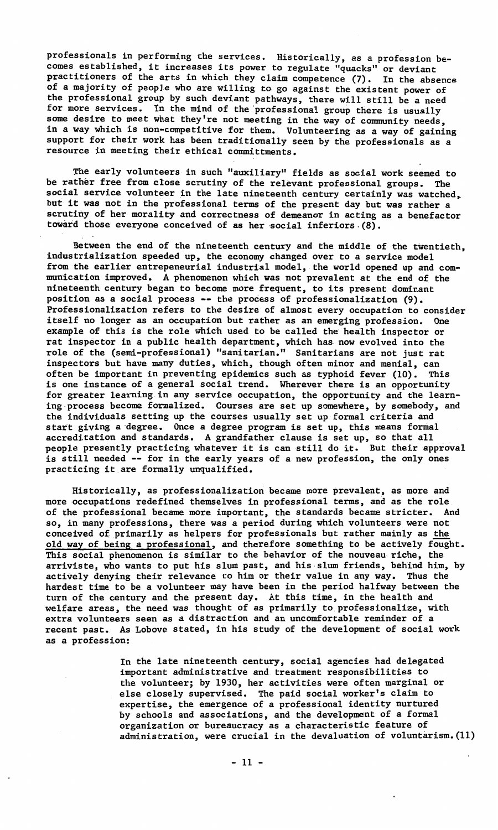professionals in performing the services. Historically, as a profession becomes established, it increases its power to regulate "quacks" or deviant practitioners of the arts in which they claim competence (7). In the absence of a majority of people who are willing to go against the existent power of the professional group by such deviant pathways, there will still be a need for more services. In the mind of the 'professional group there is usually some desire to meet what they're not meeting in the way of community needs, in a way which is non-competitive for them. Volunteering as a way of gaining support for their work has been traditionally seen by the professionals as a resource in meeting their ethical committments.

The early volunteers in such "auxiliary" fields as social work seemed to be rather free from close scrutiny of the relevant professional groups. The social service volunteer in the late nineteenth century certainly was watched, but it was not in the professional terms of the present day but was rather a scrutiny of her morality and correctness of demeanor in acting as a benefactor toward those everyone conceived of as her social inferiors.  $(8)$ .

Between the end of the nineteenth century and the middle of the twentieth, industrialization speeded up, the economy changed over to a service model from the earlier entrepeneurial industrial model, the world opened up and communication improved. A phenomenon which was not prevalent at the end of the nineteenth century began to become more frequent, to its present dominant position as a social process -- the process of professionalization (9). .<br>Professionalization refers to the desire of almost every occupation to consider itself no longer as an occupation but rather as an emerging profession. One example of this is the role which used to be called the health inspector or rat inspector in a public health department, which has now evolved into the role of the (semi-professional) "sanitarian." Sanitarians are not just rat inspectors but have many duties, which, though often minor and menial, can often be important in preventing epidemics such as typhoid fever (10). This is one instance of a general social trend. Wherever there is an opportunity for greater learning in any service occupation, the opportunity and the learning-process become formalized. Courses are set up somewhere, by somebody, and the individuals setting up the courses usually set up-formal criteria and start giving a·degree. Once a degree program is set up, this means formal accreditation and standards. A grandfather clause is set up, so that all people presently practicing whatever it is can still do it. But their approval is still needed -- for in the early years of a new profession, the only ones practicing it are formally unqualified.

Historically, as professionalization became more prevalent, as more and more-occupations redefined themselves in professional terms, and as the role of the professional became more important, the standards became stricter. And so, in many professions, there was a period during which volunteers were not conceived of primarily as helpers for professionals but rather mainly as the old way of being a professional, and therefore something to be actively fought. This social phenomenon is similar to the behavior of the nouveau riche, the arriviste, who wants to put his slum past, and his-slum friends, behind him, by actively denying their relevance to him or their value in any way. Thus the hardest time to be a volunteer may have been in the period halfway between the turn of the century and the present day. At this time, in the health and welfare areas, the need was thought of as primarily to professionalize, with extra volunteers seen as a distraction and an uncomfortable reminder of a recent past. As Labove stated, in his study of the development of social work as a profession:

> In the late nineteenth century, social agencies had delegated important administrative and treatment responsibilities to the volunteer; by 1930, her activities were often marginal or else closely supervised. The paid social worker's claim to expertise, the emergence of a professional identity nurtured by schools and associations, and the development of a formal organization or bureaucracy as a characteristic feature of administration, were crucial in the devaluation of voluntarism.(11)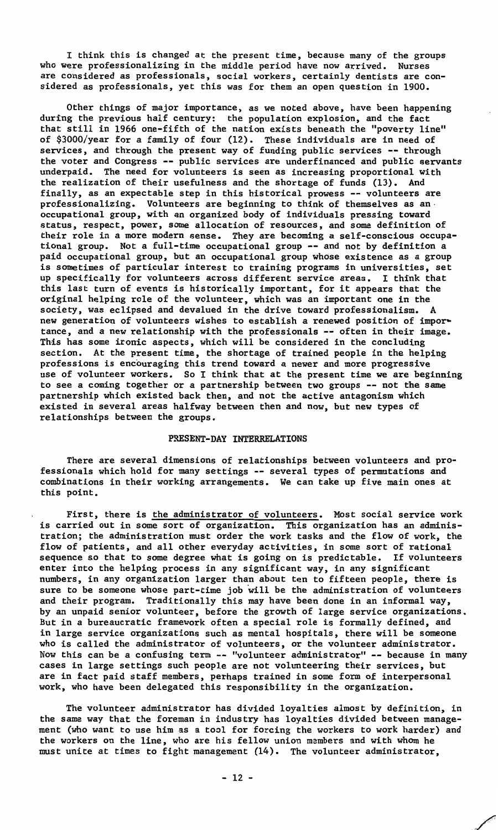I think this is changed at the present time, because many of the groups who were professionalizing in the middle period have now arrived. Nurses are considered as professionals, social workers, certainly dentists are considered as professionals, yet this was for them an open question in 1900.

Other things of major importance, as we noted above, have been happening during the previous half century: the population explosion, and the fact that still in 1966 one-fifth of the nation exists beneath the "poverty line" of \$3000/year for a family of four (12). These individuals are in need of services, and through the present way of funding public services -- through the voter and Congress -- public services are underfinanced and public servants underpaid. The need for volunteers is seen as increasing proportional with the realization of their usefulness and the shortage of funds (13). And finally, as an expectable step in this historical prowess -- volunteers are professionalizing. Volunteers are beginning to think of themselves as an-occupational group, with an organized body of individuals pressing toward status, respect, power, some allocation of resources, and some definition of their role in a more modern sense. They are becoming a self-conscious occupational group. Not a full-time occupational group -- and not by definition a paid occupational group, but an occupational group whose existence as a group is sometimes of particular interest to training programs in universities, set up specifically for volunteers across different service areas. I think that this last turn of events is historically important, for it appears that the original helping role of the volunteer, which was an important one in the society, was eclipsed and devalued in the drive toward professionalism. new generation of volunteers wishes to establish a renewed position of impor~ tance, and a new relationship with the professionals -- often in their image. This has some ironic aspects, which will be considered in the concluding section. At the present time, the shortage of trained people in the helping professions is encouraging this trend toward a newer and more progressive use of volunteer workers. So I think that at the present time we are beginning to see a coming together or a partnership between two groups -- not the same partnership which existed back then, and not the active antagonism which existed in several areas halfway between then and now, but new types of relationships between the groups.

#### PRESENT-DAY INTERRELATIONS

There are several dimensions of relationships between volunteers and professionals which hold for many settings -- several types of permutations and combinations in their working arrangements. We can take up five main ones at this point.

First, there is the administrator of volunteers. Most social service work is carried out in some sort of organization. This organization has an administration; the administration must order the work tasks and the flow of work, the flow of patients, and all other everyday activities, in some sort of rational sequence so that to some degree what is going on is predictable. If volunteers enter into the helping process in any significant way, in any significant numbers, in any organization larger than about ten to fifteen people, there is sure to be someone whose part-time job will be the administration of volunteers and their program. Traditionally this may have been done in an informal way, by an unpaid senior volunteer, before the growth of large service organizations. But in a bureaucratic framework often a special role is formally defined, and in large service organizations such as mental hospitals, there will be someone who is called the administrator of volunteers, or the volunteer administrator. Now this can be a confusing term -- "volunteer administrator" -- because in many cases in large settings such people are not volunteering their services, but are in fact paid staff members, perhaps trained in some form of interpersonal work, who have been delegated this responsibility in the organization.

The volunteer administrator has divided loyalties almost by definition, in the same way that the foreman in industry has loyalties divided between management (who want to use him as a tool for forcing the workers to work harder) and the workers on the line, who are his fellow union members and with whom he must unite at times to fight management (14). The volunteer administrator,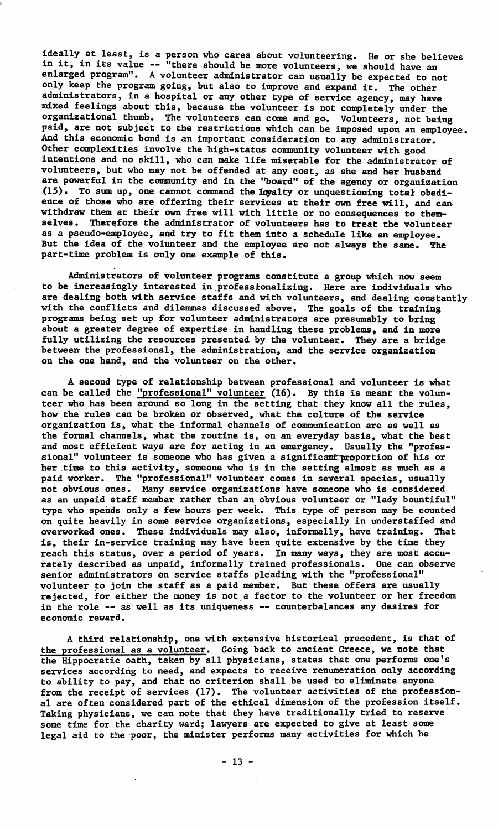ideally at least, is a person who cares about volunteering. He or she believes in it, in its value -- "there should be more volunteers, we should have an enlarged program". A volunteer administrator can usually be expected to not only keep the program going, but also to improve and expand it. The other administrators, in a hospital or any other type of service agency, may have mixed feelings about this, because the volunteer is not completely under the organizational thumb. The volunteers can come and go. Volunteers, not being paid, are not subject to the restrictions which can be imposed upon an employee. And this economic bond is an important consideration to any administrator. Other complexities involve the high-status community volunteer with good intentions and no skill, who can make life miserable for the administrator of volunteers, but who may not be offended at any cost, as she and her husband<br>are powerful in the community and in the "board" of the agency or organizati (15). To sum up, one cannot command the loyalty or unquestioning total obedience of those who are offering their services at their own free will, and can withdraw them at their own free will with little or no consequences to themselves. Therefore the administrator of volunteers has to treat the volunteer as a pseudo-employee, and try to fit them into a schedule like an employee. But the idea of the volunteer and the employee are not always the same. The part-time problem is only one example of this.

Administrators of volunteer programs constitute a group which now seem to be increasingly interested in.professionalizing. Here are individuals who are dealing both with service staffs and with volunteers, and dealing constantly with the conflicts and dilemmas discussed above. The goals of the training programs being set up for volunteer administrators are presumably to bring about a greater degree of expertise in handling these problems, and in more fully utilizing the resources presented by the volunteer. They are a bridge between the professional, the administration, and the service organization on the one hand, and the volunteer on the other.

A second type of relationship between professional and volunteer is what can be called the <u>"professional" volunteer</u> (16). By this is meant the volun<br>teer who has been around so long in the setting that they know all the rules how the rules can be broken or observed, what the culture of the service organization is, what the informal channels of communication are as well as the formal channels, what the routine is, on an everyday basis, what the best and most efficient ways are for acting in an emergency. Usually the "professional" volunteer is someone who has given a significant proportion of his or her.time to this activity, someone who is in the setting almost as much as a paid worker. The "professional" volunteer comes in several species, usually not obvious ones. Many service organizations have someone who is considered as an unpaid staff member rather than an obvious volunteer or "lady bountiful" type who spends only a few hours per week. This type of person may be counted on quite heavily in some service organizations, especially in understaffed and overworked ones. These individuals may also, informally, have training. That is, their in-service training may have been quite extensive by the time they reach this status, over a period of years. In many ways, they are most accurately described as unpaid, informally trained professionals. One can observe senior administrators on service staffs pleading with the "professional" volunteer to join the staff as a paid member. But these offers are usually rejected, for either the money is not.a factor to the volunteer or her freedom in the role -- as well as its uniqueness -- counterbalances any desires for economic reward.

A third relationship, one with extensive historical precedent, is that of the professional as a volunteer. Going back to ancient Greece, we note that the Hippocratic oath, taken by all physicians, states that one performs one's services according to need, and expects to receive renumeration only according to ability to pay, and that no criterion shall be used to eliminate anyone from the receipt of services (17). The volunteer activities of the professio<br>al are often considered part of the ethical dimension of the profession itsel Taking physicians, we can note that they have traditionally tried to reserve some time for the charity ward; lawyers are expected to give at least some legal aid to the poor, the minister performs many activities for which he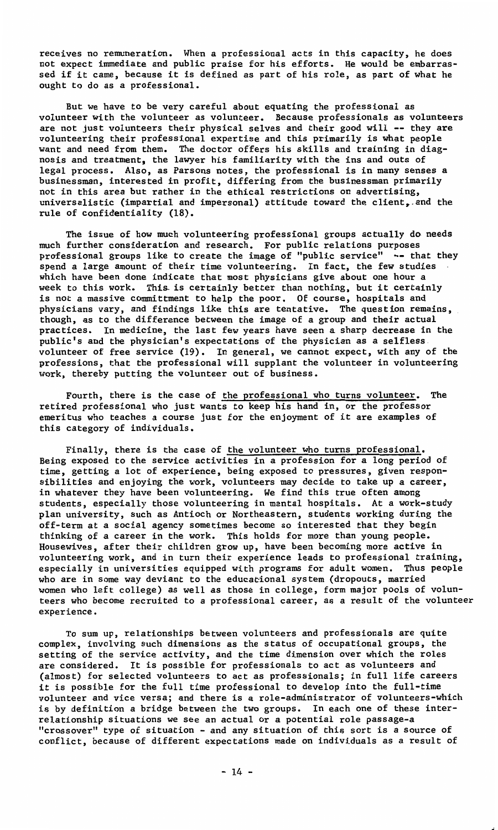**receives no remuneration. When a professional acts in this capacity, he does**  not expect immediate and public praise for his efforts. He would be embarrassed if it came, because it is defined as part of his role, as part of what he ought to do as a professional.

But we have to be very careful about equating the professional as volunteer with the volunteer as volunteer. Because professionals as volunteers are not just volunteers their physical selves and their good will -- they are volunteering their professional expertise and this primarily is what people want and need from them. The doctor offers his skills and training in diag-nosis and treatment, the lawyer his familiarity with the ins and outs of legal process. Also, as Parsons notes, the professional is in many senses a businessman, interested in profit, differing from the businessman primarily not in this area but rather in the ethical restrictions on advertising, universalistic (impartial and impersonal) attitude toward the client. and the rule of confidentiality (18).

The issue of how much volunteering professional groups actually do needs much further consideration and research. For public relations purposes professional groups like to create the image of "public service" -- that they spend a large amount of their time volunteering. In fact, the few studies which have been done indicate that most physicians give about one hour a week to this work. This is certainly better than nothing, but it certain<br>is not a massive committment to help the poor. Of course, hospitals and physicians vary, and findings like this are tentative. The question remains, though, as to the difference between the image of a group and their actual practices. In medicine, the last few years have seen a sharp decrease in the public's and the physician's expectations of the physician as a selfless volunteer of free service (19). In general, we cannot expect, with any of the professions, that the professional will supplant the volunteer in volunteering work, thereby putting the volunteer out of business.

Fourth, there is the case of the professional who turns volunteer. The retired professional who just wants to keep his hand in, or the professor emeritus who teaches a course just for the enjoyment of it are examples of this category of individuals.

Finally, there is the case of the volunteer who turns professional. Being exposed to the service activities in a profession for a long period of time, getting a lot of experience, being exposed to pressures, given responsibilities and enjoying the work, volunteers may decide *to* take up a career, in whatever they have been volunteering. We find this true often among students, especially those volunteering in mental hospitals. At a work-stud plan university, such as Antioch or Northeastern, students working during the off-term at a social agency sometimes become so interested that they begin thinking of a career in the work. This holds for more than young people. Housewives, after their children grow up, have been becoming more active in volunteering work, and in turn their experience leads to professional training, especially in universities equipped with programs for adult women. Thus people who are in some way deviant to the educational system (dropouts, married women who left college) as well as those in college, form major pools of volunteers who become recruited to a professional career, as a result of the volunteer **experience.** 

To sum up, relationships between volunteers and professionals are quite complex, involving such dimensions as the status of occupational groups, the setting of the service activity, and the time dimension over which the roles are considered. It is possible for professionals to act as volunteers and {almost) for selected volunteers to act as professionals; in full life careers it is possible for the full time professional to develop into the full-time volunteer and vice versa; and there is a role-administrator of volunteers-which is by definition a bridge between the two groups. In each one of these interrelationship situations we see an actual or a potential role passage-a **<sup>11</sup>crossover <sup>0</sup>type of situation - and any situation of this sort is a source of**  conflict, because of different expectations made on individuals as a result of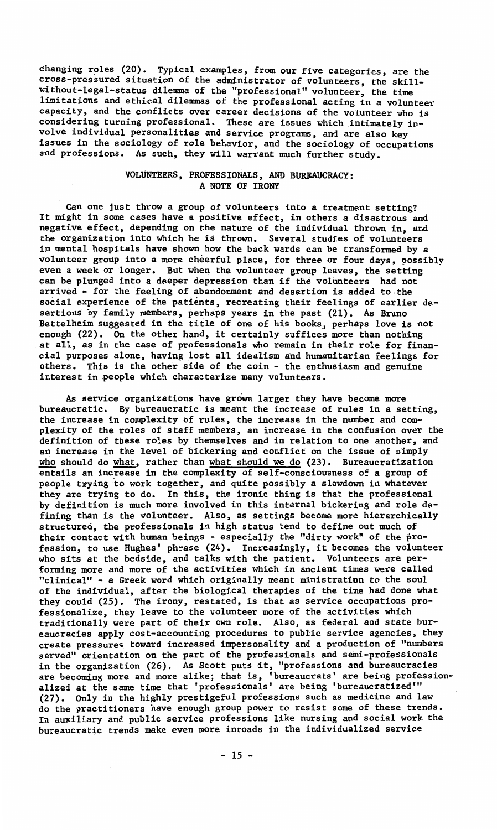changing roles (20). Typical examples, from our five categories, are the cross-pressured situation of the administrator of volunteers, the skillwithout-legal-status dilemma of the "professional" volunteer, the time limitations and ethical dilemmas of the professional acting in a volunteer capacity, and the conflicts over career decisions of the volunteer who is considering turning professional. These are issues which intimately involve individual personalities and service programs, and are also key issues in the sociology of role behavior, and the sociology of occupations and professions. As such, they will warrant much further study.

# VOLUNTEERS, PROFESSIONALS, AND BUREAUCRACY: A NOTE OF IRONY

Can one just throw a group of volunteers into a treatment setting? It might in some cases have a positive effect, in others a disastrous and negative effect, depending on the nature of the individual thrown in, and the organization into which he is thrown. Several studies of volunteers in mental hospitals have shown how the back wards can be transformed by a volunteer group into a more cheerful place, for three or four days, possibly even a week or longer. But when the volunteer group leaves, the setting can be plunged into a deeper depression than if the volunteers had not arrived - for the feeling of abandonment and desertion is added to-the social experience of the patients, recreating their feelings of earlier desertions by family members, perhaps years in the past (21). As Bruno Bettelheim suggested in the title of one of his books\_, perhaps love is not enough (22). On the other hand, it certainly suffices more than nothing at all, as in the case of professionals who remain in their role for financial purposes alone, having lost all idealism and humanitarian feelings for others. This is the other side of the coin - the enthusiasm and genuine interest in people which characterize many volunteers.

As service organizations have grown larger they have become more bureaucratic. By bureaucratic is meant the increase of rules in a setting, the increase in complexity of rules, the increase in the number and complexity of the roles of staff members, an increase in the confusion over the definition of these roles by themselves and in relation to one another, and an increase in the level of bickering and conflict on the issue of simply who should do what, rather than what should we do (23). Bureaucratization entails an increase in the complexity of self-consciousness of a group of people trying 'to work together, and quite possibly a slowdown in whatever they are trying to do. In this, the ironic thing is that the professional by definition is much more involved in this internal bickering and role defining than is the volunteer. Also, as settings become more hierarchically structured, the professionals in high status tend to define out much of their contact with human beings - especially the "dirty work" of the profession, to use Hughes' phrase (24). Increasingly, it becomes the volunteer who sits at the bedside, and talks with the patient. Volunteers are per-<br>forming more and more of the activities which in ancient times were calle "clinical" - a Greek word which originally meant ministration *to* the soul of the individual, after the biological therapies of the time had done what they could (25). The irony, restated, is that as service occupations professionalize, they leave to the volunteer more of the activities which traditionally were part of their own role. Also, as federal and state bureaucracies apply cost-accounting procedures to public service agencies, they create pressures toward increased impersonality and a production of "numbers served" orientation on the part of the professionals and semi-professionals in the organization (26). As Scott puts it, "professions and bureaucracies<br>are becoming more and more alike; that is, 'bureaucrats' are being professio<br>alized at the same time that 'professionals' are being 'bureaucratized (27). Only in the highly prestigeful professions such as medicine and law do the practitioners have enough group power to resist some of these trends. In auxiliary and public service professions like nursing and social work the bureaucratic trends make even more inroads in the individualized service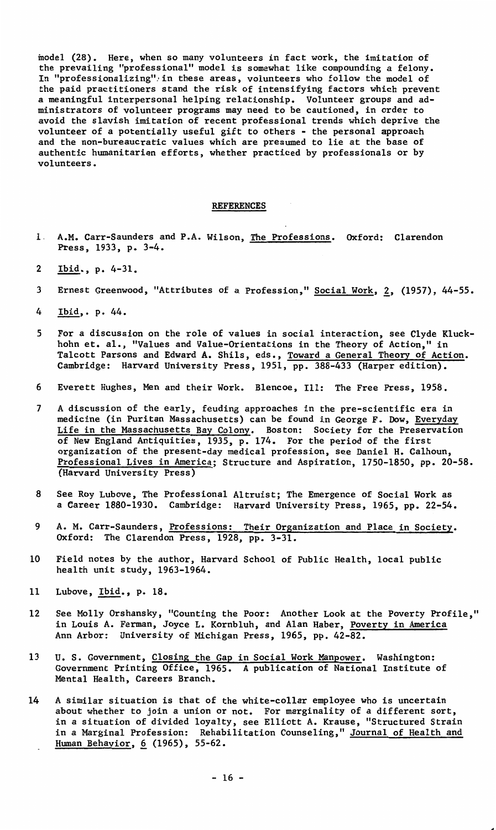model (28). Here, when so many volunteers in fact work, the imitation of the prevailing "professional" model is somewhat like compounding a felony. In "professionalizing",in these areas, volunteers who follow the model of the paid practitioners stand the risk of intensifying factors which prevent a meaningful interpersonal helping relationship. Volunteer groups and ad-ministrators of volunteer programs may need to be cautioned, in order to avoid the slavish imitation of recent professional trends which deprive the volunteer of a potentially useful gift to others - the personal approach and the non-bureaucratic values which are presumed to lie at the base of authentic humanitarian efforts, whether practiced by professionals or by volunteers.

# REFERENCES

- 1 **A.M.** Carr-Saunders and P.A. Wilson, The Professions. Oxford: Clarendon Press, 1933, p. 3-4.
- 2 Ibid., p. 4-31.
- 3 Ernest Greenwood, "Attributes of a Profession," Social **Work,** 1, (1957), 44-55.
- 4 Ibid,. p. 44.
- 5 For a discussion on the role of values in social interaction, see Clyde Kluckhohn et. al., "Values and Value-Orientations in the Theory of Action," in Talcott Parsons and Edward A. Shils, eds., Toward a General Theory of Action. Cambridge: Harvard University Press, 1951, pp. 388-433 (Harper edition).
- 6 Everett Hughes, Men and their Work. Blencoe, Ill: The Free Press, 1958.
- 7 A discussion of the early, feuding approaches in the pre-scientific era in medicine (in Puritan Massachusetts) can be found in George F. Dow, Everyday Life in the Massachusetts Bay Colony. Boston: Society for the Preservati<br>of New England Antiquities, 1935, p. 174. For the period of the first organization of the present-day medical profession, see Daniel H. Calhoun, Professional Lives in America; Structure and Aspiration, 1750-1850, pp. 20-58. (Harvard University Press)
- 8 See Roy Lubove, The Professional Altruist; The Emergence of Social Work as a Career 1880-1930. Cambridge: Harvard University Press, 1965, pp. 22-54.
- 9 A. M. Carr-Saunders, Professions: Their Organization and Place in Society. Oxford: The Clarendon Press, 1928, pp. 3-31.
- 10 Field notes by the author, Harvard School of Public Health, local public health unit study, 1963-1964.
- 11 Lubove, Ibid., p. 18.
- 12 See Molly Orshansky, "Counting the Poor: Another Look at the Poverty Profile," in Louis A. Ferman, Joyce L. Kornbluh, and Alan Haber, Poverty in America Ann Arbor: University of Michigan Press, 1965, pp. 42-82.
- 13 U. S. Government, Closing the Gap in Social Work Manpower. Washington:<br>Government Printing Office, 1965. A publication of National Institute of Mental Health, Careers Branch.
- 14 A similar situation is that of the white-collar employee who is uncertain about whether to join a union or not. For marginality of a different sort, in a situation of divided loyalty, see Elliott A. Krause, "Structured Strain in a Marginal Profession: Rehabilitation Counseling," Journal of Health and Human Behavior, 6 (1965), 55-62.